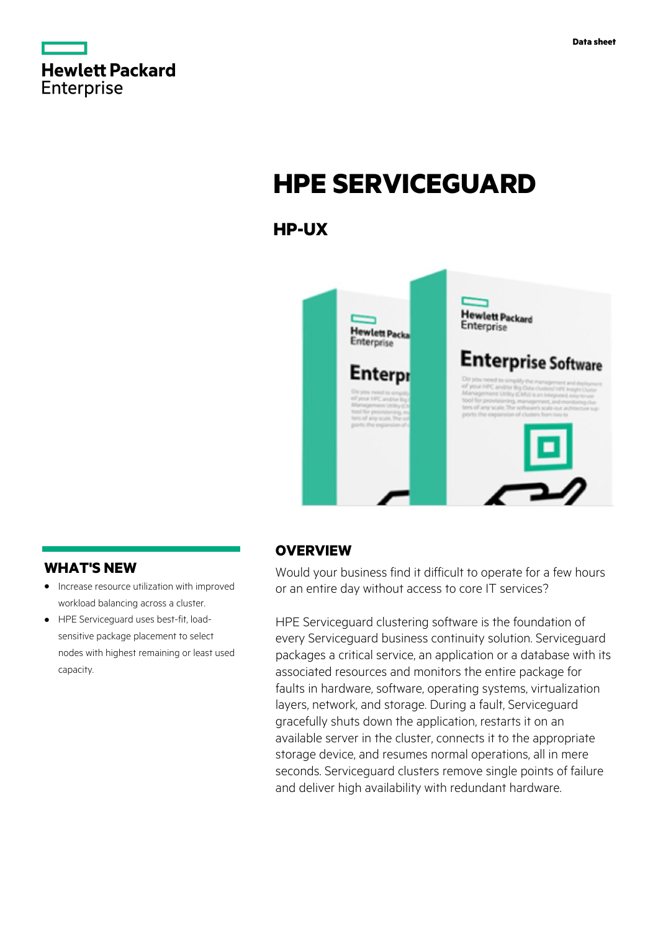

# **HPE SERVICEGUARD**

# **HP-UX**



## **WHAT'S NEW**

- **·** Increase resource utilization with improved workload balancing across a cluster.
- **·** HPE Serviceguard uses best-fit, loadsensitive package placement to select nodes with highest remaining or least used capacity.

## **OVERVIEW**

Would your business find it difficult to operate for a few hours or an entire day without access to core IT services?

HPE Serviceguard clustering software is the foundation of every Serviceguard business continuity solution. Serviceguard packages a critical service, an application or a database with its associated resources and monitors the entire package for faults in hardware, software, operating systems, virtualization layers, network, and storage. During a fault, Serviceguard gracefully shuts down the application, restarts it on an available server in the cluster, connects it to the appropriate storage device, and resumes normal operations, all in mere seconds. Serviceguard clusters remove single points of failure and deliver high availability with redundant hardware.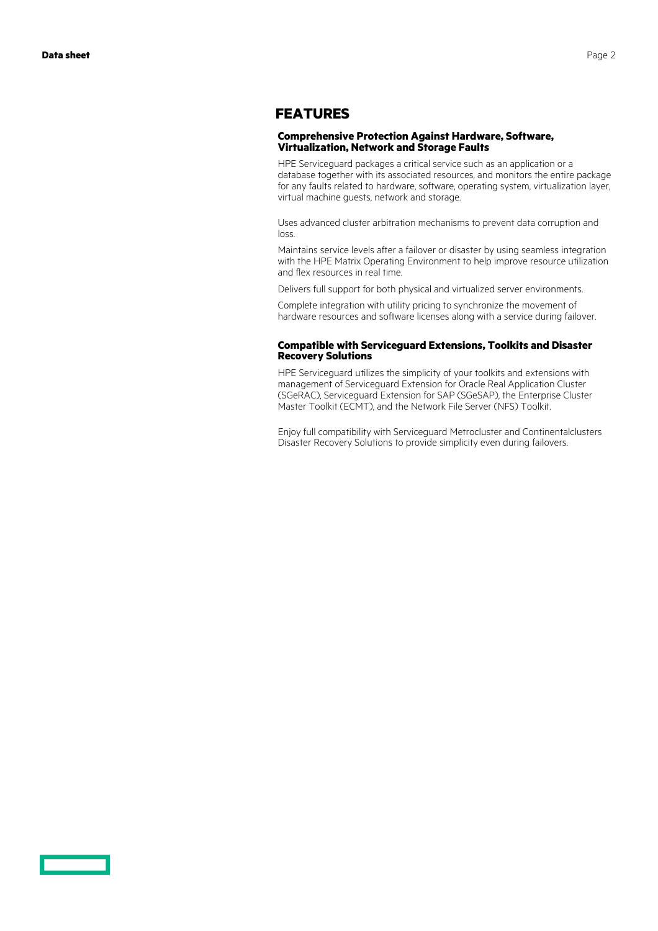### **FEATURES**

#### **Comprehensive Protection Against Hardware, Software, Virtualization, Network and Storage Faults**

HPE Serviceguard packages a critical service such as an application or a database together with its associated resources, and monitors the entire package for any faults related to hardware, software, operating system, virtualization layer, virtual machine guests, network and storage.

Uses advanced cluster arbitration mechanisms to prevent data corruption and loss.

Maintains service levels after a failover or disaster by using seamless integration with the HPE Matrix Operating Environment to help improve resource utilization and flex resources in real time.

Delivers full support for both physical and virtualized server environments.

Complete integration with utility pricing to synchronize the movement of hardware resources and software licenses along with a service during failover.

#### **Compatible with Serviceguard Extensions, Toolkits and Disaster Recovery Solutions**

HPE Serviceguard utilizes the simplicity of your toolkits and extensions with management of Serviceguard Extension for Oracle Real Application Cluster (SGeRAC), Serviceguard Extension for SAP (SGeSAP), the Enterprise Cluster Master Toolkit (ECMT), and the Network File Server (NFS) Toolkit.

Enjoy full compatibility with Serviceguard Metrocluster and Continentalclusters Disaster Recovery Solutions to provide simplicity even during failovers.